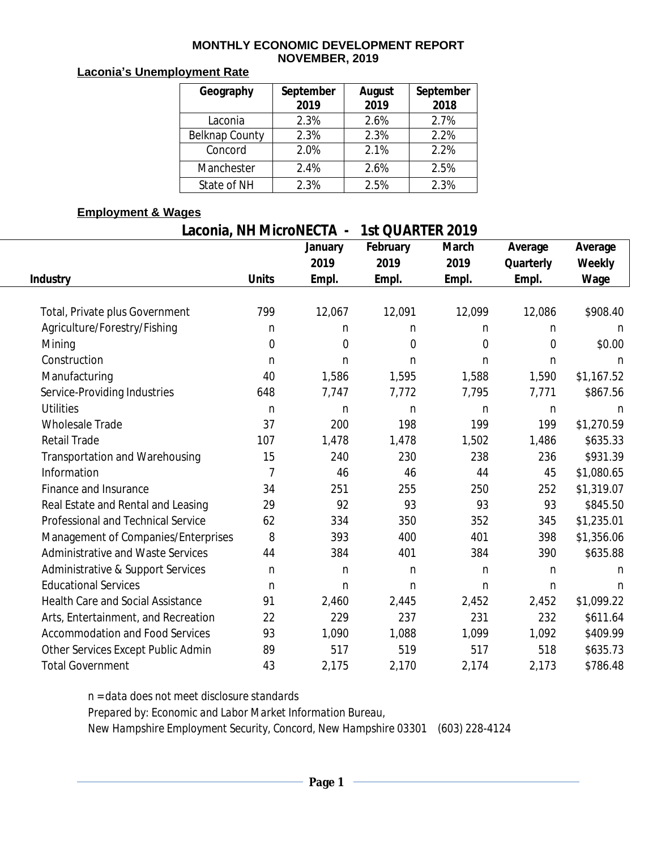#### **MONTHLY ECONOMIC DEVELOPMENT REPORT NOVEMBER, 2019**

### **Laconia's Unemployment Rate**

| Geography      | September<br>2019 | August<br>2019 | September<br>2018 |
|----------------|-------------------|----------------|-------------------|
| Laconia        | 2.3%              | 2.6%           | 2.7%              |
| Belknap County | 2.3%              | 2.3%           | 2.2%              |
| Concord        | 2.0%              | 2.1%           | 2.2%              |
| Manchester     | 2.4%              | 2.6%           | 2.5%              |
| State of NH    | 2.3%              | 2.5%           | 2.3%              |

### **Employment & Wages**

# **Laconia, NH MicroNECTA - 1st QUARTER 2019**

|                                        |                | January      | February       | <b>March</b> | Average        | Average    |  |
|----------------------------------------|----------------|--------------|----------------|--------------|----------------|------------|--|
|                                        |                | 2019         | 2019           | 2019         | Quarterly      | Weekly     |  |
| <b>Industry</b>                        | <b>Units</b>   | Empl.        | Empl.          | Empl.        | Empl.          | Wage       |  |
| Total, Private plus Government         | 799            | 12,067       | 12,091         | 12,099       | 12,086         | \$908.40   |  |
| Agriculture/Forestry/Fishing           | n              | n            | n.             | n.           | n              | n          |  |
| Mining                                 | $\mathbf 0$    | $\mathbf 0$  | $\overline{0}$ | 0            | $\overline{0}$ | \$0.00     |  |
| Construction                           | n              | $\mathsf{n}$ | n.             | n.           | n              | n          |  |
| Manufacturing                          | 40             | 1,586        | 1,595          | 1,588        | 1,590          | \$1,167.52 |  |
| Service-Providing Industries           | 648            | 7,747        | 7,772          | 7,795        | 7,771          | \$867.56   |  |
| <b>Utilities</b>                       | n              | n            | n.             | n.           | n              | n          |  |
| <b>Wholesale Trade</b>                 | 37             | 200          | 198            | 199          | 199            | \$1,270.59 |  |
| <b>Retail Trade</b>                    | 107            | 1,478        | 1,478          | 1,502        | 1,486          | \$635.33   |  |
| Transportation and Warehousing         | 15             | 240          | 230            | 238          | 236            | \$931.39   |  |
| Information                            | $\overline{7}$ | 46           | 46             | 44           | 45             | \$1,080.65 |  |
| Finance and Insurance                  | 34             | 251          | 255            | 250          | 252            | \$1,319.07 |  |
| Real Estate and Rental and Leasing     | 29             | 92           | 93             | 93           | 93             | \$845.50   |  |
| Professional and Technical Service     | 62             | 334          | 350            | 352          | 345            | \$1,235.01 |  |
| Management of Companies/Enterprises    | 8              | 393          | 400            | 401          | 398            | \$1,356.06 |  |
| Administrative and Waste Services      | 44             | 384          | 401            | 384          | 390            | \$635.88   |  |
| Administrative & Support Services      | n              | n            | n              | n.           | n              | n          |  |
| <b>Educational Services</b>            | n              | $\mathsf{n}$ | n.             | n.           | n              | n.         |  |
| Health Care and Social Assistance      | 91             | 2,460        | 2,445          | 2,452        | 2,452          | \$1,099.22 |  |
| Arts, Entertainment, and Recreation    | 22             | 229          | 237            | 231          | 232            | \$611.64   |  |
| <b>Accommodation and Food Services</b> | 93             | 1,090        | 1,088          | 1,099        | 1,092          | \$409.99   |  |
| Other Services Except Public Admin     | 89             | 517          | 519            | 517          | 518            | \$635.73   |  |
| <b>Total Government</b>                | 43             | 2,175        | 2,170          | 2,174        | 2,173          | \$786.48   |  |

*n = data does not meet disclosure standards*

*Prepared by: Economic and Labor Market Information Bureau,*

*New Hampshire Employment Security, Concord, New Hampshire 03301 (603) 228-4124*